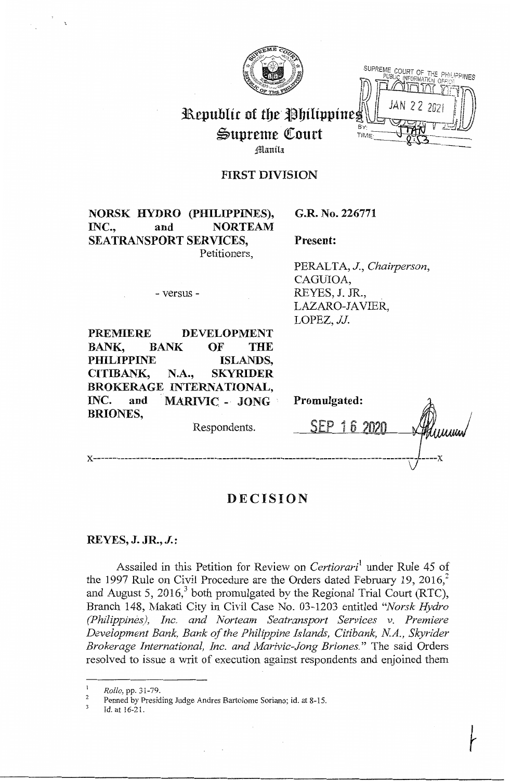

**SUPREME COURT OF THE PHILIPPINES**  $\mathbb{D}$  Patrick  $\mathbb{Z}$  $\|$  JAN 2 2 2021  $\|$ 

# **Republic of the Philippine.** Supreme Court <sup>BY:</sup><br>Hanila **Court**

## **FIRST DIVISION**

**NORSK HYDRO (PHILIPPINES),**  INC., and **NORTEAM SEATRANSPORT SERVICES,**  Petitioners,

- versus -

**G.R. No. 226771** 

**Present:** 

PERALTA, **J.,** *Chairperson,*  CAGUJOA, REYES, J. JR., LAZARO-JAVIER, LOPEZ, *JJ.* 

| <b>PREMIERE</b>          |                       | <b>DEVELOPMENT</b> |                 |              |  |
|--------------------------|-----------------------|--------------------|-----------------|--------------|--|
| BANK,                    | <b>BANK</b>           | OF                 | <b>THE</b>      |              |  |
| <b>PHILIPPINE</b>        |                       |                    | <b>ISLANDS,</b> |              |  |
| CITIBANK,                | N.A., SKYRIDER        |                    |                 |              |  |
| BROKERAGE INTERNATIONAL, |                       |                    |                 |              |  |
| INC.<br>and              | <b>MARIVIC - JONG</b> |                    |                 | Promulgated: |  |
| <b>BRIONES,</b>          |                       | Respondents.       |                 | SEP 16 2020  |  |
|                          |                       |                    |                 |              |  |

# **DECISION**

### **REYES, J. JR., J.:**

Assailed in this Petition for Review on *Certiorari*<sup>1</sup> under Rule 45 of the 1997 Rule on Civil Procedure are the Orders dated February 19,  $2016$ <sup>2</sup> and August 5, 2016, $3$  both promulgated by the Regional Trial Court (RTC), Branch 148, Makati City in Civil Case No. 03-1203 entitled *"Norsk Hydro (Philippines), Inc. and Norteam Seatransport Services v. Premiere Development Bank, Bank of the Philippine Islands, Citibank, NA., Skyrider Brokerage International, Inc. and Marivic-Jong Briones."* The said Orders resolved to issue a writ of execution against respondents and enjoined them

*Rollo,* pp. 31-79.

 $\overline{\phantom{a}}$ 3 Penned by Presiding Judge Andres Bartolome Soriano; id. at 8-15.

Id. at 16-21.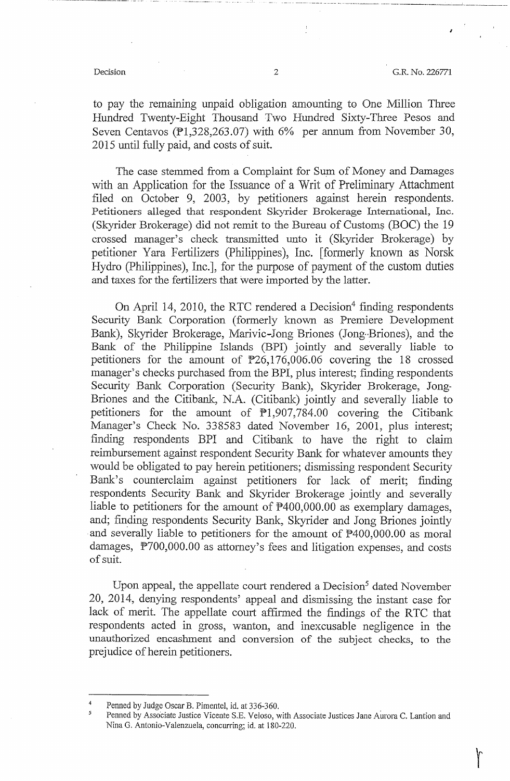*I* 

----. -------- ------- - . ·- .. ------•------- -------------'----------

to pay the remaining unpaid obligation amounting to One Million Three Hundred Twenty-Eight Thousand Two Hundred Sixty-Three Pesos and Seven Centavos ( $P1,328,263.07$ ) with 6% per annum from November 30, 2015 until fully paid, and costs of suit.

The case stemmed from a Complaint for Sum of Money and Damages with an Application for the Issuance of a Writ of Preliminary Attachment filed on October 9, 2003, by petitioners against herein respondents. Petitioners alleged that respondent Skyrider Brokerage International, Inc. (Skyrider Brokerage) did not remit to the Bureau of Customs (BOC) the 19 crossed manager's check transmitted unto it (Skyrider Brokerage) by petitioner Yara Fertilizers (Philippines), Inc. [fonnerly known as Norsk Hydro (Philippines), Inc.], for the purpose of payment of the custom duties and taxes for the fertilizers that were imported by the latter.

On April 14, 2010, the RTC rendered a Decision<sup>4</sup> finding respondents Security Bank Corporation (formerly known as Premiere Development Bank), Skyrider Brokerage, Marivic-Jong Briones (Jong-Briones), and the Bank of the Philippine Islands (BPI) jointly and severally liable to petitioners for the amount of  $P26,176,006.06$  covering the 18 crossed manager's checks purchased from the BPI, plus interest; finding respondents Security Bank Corporation (Security Bank), Skyrider Brokerage, Jong-• Briones and the Citibank, N.A. (Citibank) jointly and severally liable to petitioners for the amount of Pl,907,784.00 covering the Citibank Manager's Check No. 338583 dated November 16, 2001, plus interest; finding respondents BPI and Citibank to have the right to claim reimbursement against respondent Security Bank for whatever amounts they would be obligated to pay herein petitioners; dismissing respondent Security Bank's counterclaim against petitioners for lack of merit; finding respondents Security Bank and Skyrider Brokerage jointly and severally liable to petitioners for the amount of P400,000.00 as exemplary damages, and; finding respondents Security Bank, Skyrider and Jong Briones jointly and severally liable to petitioners for the amount of  $P400,000.00$  as moral damages, P700,000.00 as attorney's fees and litigation expenses, and costs of suit.

Upon appeal, the appellate court rendered a Decision<sup>5</sup> dated November 20, 2014, denying respondents' appeal and dismissing the instant case for lack of merit. The appellate court affirmed the findings of the RTC that respondents acted in gross, wanton, and inexcusable negligence in the unauthorized encaslnnent and conversion of the subject checks, to the prejudice of herein petitioners.

<sup>4</sup>  Penned by Judge Oscar B. Pimentel, id. at 336-360.

<sup>5</sup>  Penned by Associate Justice Vicente S.E. Veloso, with Associate Justices Jane Aurora C. Lantion and Nina G. Antonio-Valenzuela, concurring; id. at 180-220.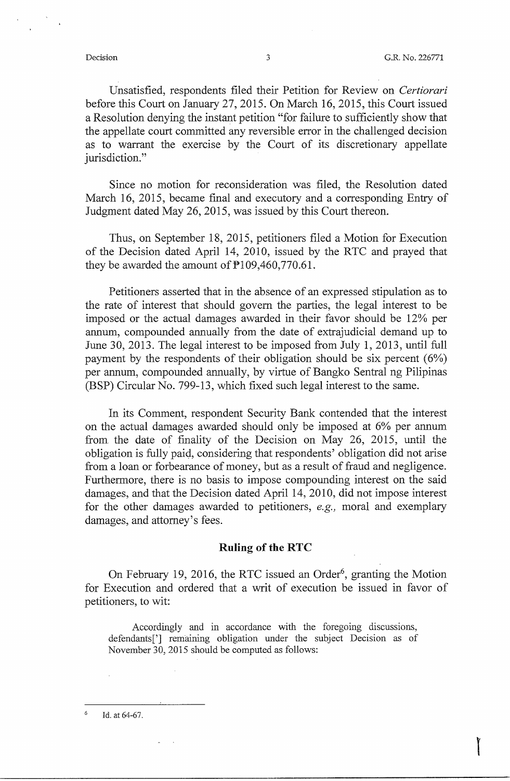Unsatisfied, respondents filed their Petition for Review on *Certiorari*  before this Court on January 27, 2015. On March 16, 2015, this Court issued a Resolution denying the instant petition "for failure to sufficiently show that the appellate court committed any reversible error in the challenged decision as to warrant the exercise by the Court of its discretionary appellate jurisdiction."

Since no motion for reconsideration was filed, the Resolution dated March 16, 2015, became final and executory and a corresponding Entry of Judgment dated May 26, 2015, was issued by this Court thereon.

Thus, on September 18, 2015, petitioners filed a Motion for Execution of the Decision dated April 14, 2010, issued by the RTC and prayed that they be awarded the amount of  $\overline{P}$ 109,460,770.61.

Petitioners asserted that in the absence of an expressed stipulation as to the rate of interest that should govern the parties, the legal interest to be imposed or the actual damages awarded in their favor should be 12% per annum, compounded annually from the date of extrajudicial demand up to June 30, 2013. The legal interest to be imposed from July 1, 2013, until full payment by the respondents of their obligation should be six percent  $(6%)$ per annum, compounded annually, by virtue of Bangko Sentral ng Pilipinas (BSP) Circular No. 799-13, which fixed such legal interest to the same.

In its Comment, respondent Security Bank contended that the interest on the actual damages awarded should only be imposed at 6% per annum from the date of finality of the Decision on May 26, 2015, until the obligation is fully paid, considering that respondents' obligation did not arise from a loan or forbearance of money, but as a result of fraud and negligence. Furthermore, there is no basis to impose compounding interest on the said damages, and that the Decision dated April 14, 2010, did not impose interest for the other damages awarded to petitioners, *e.g.,* moral and exemplary damages, and attorney's fees.

#### **Ruling of the RTC**

On February 19, 2016, the RTC issued an Order<sup>6</sup>, granting the Motion for Execution and ordered that a writ of execution be issued in favor of petitioners, to wit:

Accordingly and in accordance with the foregoing discussions, defendants['] remaining obligation under the subject Decision as of November 30, 2015 should be computed as follows:

 $\epsilon$ Id. at 64-67.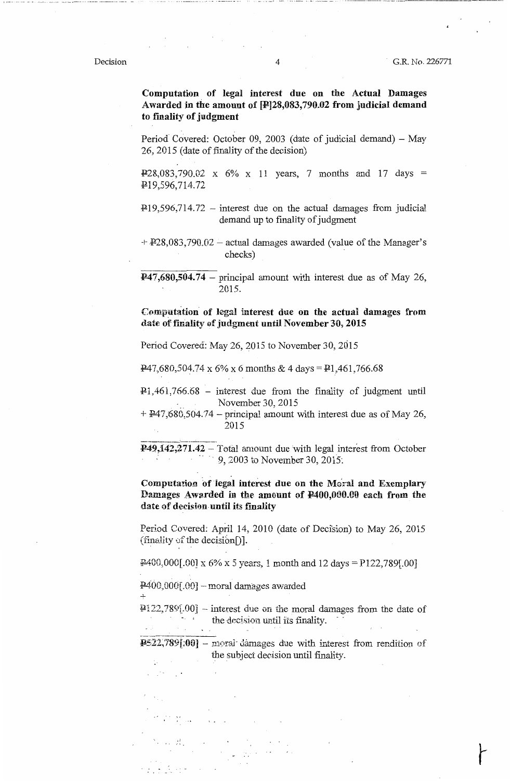#### Decision

-• --- -• \_\_ ,\_\_H\_O O -•••-••--•• ••••-•---•-•---•-•-••--•------'

**Computation of legal interest due on** the **Actual Damages Awarded** in **the amount** of **[P]28,083, 790.02 from judicial demand**  to **imality of judgment** 

Period Covered: October 09, 2003 (date of judicial demand) - May 26, 2015 (date of finality of the decision)

 $P28,083,790.02 \times 6\% \times 11$  years, 7 months and 17 days = P.19,596,714.72

 $\text{\#}19,596,714.72$  - interest due on the actual damages from judicial demand up to finality of judgment

 $+$   $+$   $+$   $228,083,790.02$  – actual damages awarded (value of the Manager's checks)

 $\textbf{P47,}680,504.74$  – principal amount with interest due as of May 26, 2015.

### **Computation· of legal interest due on the actual damages from**  date of finality of judgment until November 30, 2015

Period Covered: May 26, 2015 to November 30, 2015

 $\frac{P}{47,680,504.74 \times 6\% \times 6 \text{ months} \& 4 \text{ days}} = \frac{P1,461,766.68}{P1,461,766.68}$ 

 $P1,461,766.68$  – interest due from the finality of judgment until November 30, 2015

+ !¼7,680,504.74 - principal amount with interest due as of May 26, 2015

**P49,142,271.42** – Total amount due with legal interest from October 4. •······· 9, 2003 to November 30, 2015.

**Computation 'of legal interest due on the Mo:.al and Exemplary**  Damages Awarded in the amount of  $\text{\textbf{P}}400,000.00$  each from the **date of decision. until its imality** 

Period Covered: April 14, 2010 (date of Decision) to May 26, 2015  $(\text{finally of the decision})$ .

 $\frac{12400,000[.00] \times 6\% \times 5 \text{ years}}{1 \text{ month and } 12 \text{ days}} = 122,789[.00]$ 

 $1400,000[.00]$  - moral damages awarded

 $\mathcal{A}^{\text{reg}}$  and  $\mathcal{A}^{\text{reg}}$ 

 $[22,789]$ .00] -- interest due on the moral damages from the date of the decision until its finality.

 $P522,789[.00]$  - moral damages due with interest from rendition of the subject decision until finality.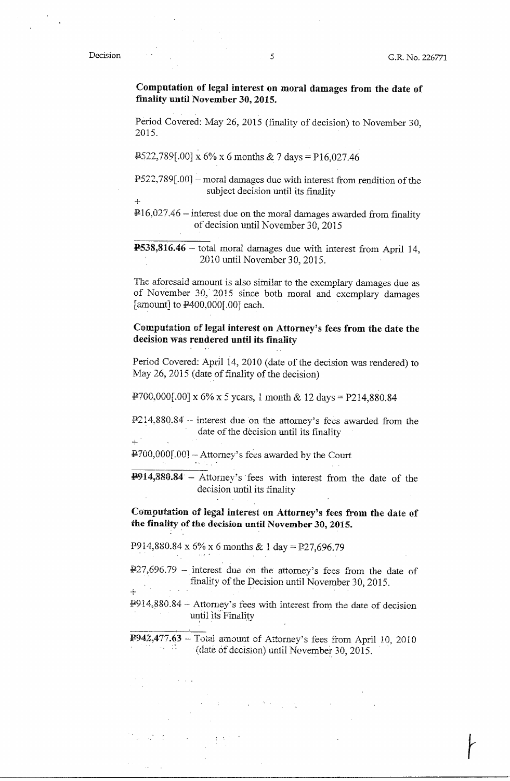+

**Computation of legal interest on moral damages from the date of finality until November 30, 2015.** 

Period Covered: May 26, 2015 (finality of decision) to November 30, 2015.

 $\text{\#}522,789[.00] \times 6\% \times 6$  months & 7 days = P16,027.46

 $F522,789[.00]$  - moral damages due with interest from rendition of the subject decision until its finality

 $\text{P16,027.46}$  – interest due on the moral damages awarded from finality of decision until November 30, 2015

**!!538,816.46** - total moral damages due with interest from April 14, 2010 until November 30, 2015.

The aforesaid amount is also similar to the exemplary damages due as of November 30, 2015 since both moral and exemplary damages [amount] to  $\frac{P400,000[.00]}{P400,000}$  each.

**Computation** of **legal interest on Attorney's fees from the date the decision was rendered until its finality** 

Period Covered: April 14, 2010 (date of the decision was rendered) to May 26, 2015 (date of finality of the decision)

¥700,000[.00] x 6% x 5 years, 1 month & 12 days= P214,880.84

I!214,880.84 -- interest due on the attorney's fees awarded from the date of the decision until its finality  $\pm$   $^{\prime}$ 

¥700,000(.00] --Attorney's fees awarded by the Court

**P914,880.84** - Attorney's ·fees with interest from the date of the decision until its finality

**Computation of legal interest on Attorney's fees from the date of the finality of the decision until November 30, 2015.** 

 $I.914,880.84 \times 6\% \times 6$  months & 1 day =  $I.927,696.79$ 

 $\overline{427,696.79}$  - interest due on the attorney's fees from the date of finality of the Decision until November 30, 2015. +

 $4914,880.84 -$  Attorney's fees with interest from the date of decision until its Finality

¥942,477.63 - Total amount of Attorney's fees from April 10, 2010  $\cdot$  (date of decision) until November 30, 2015.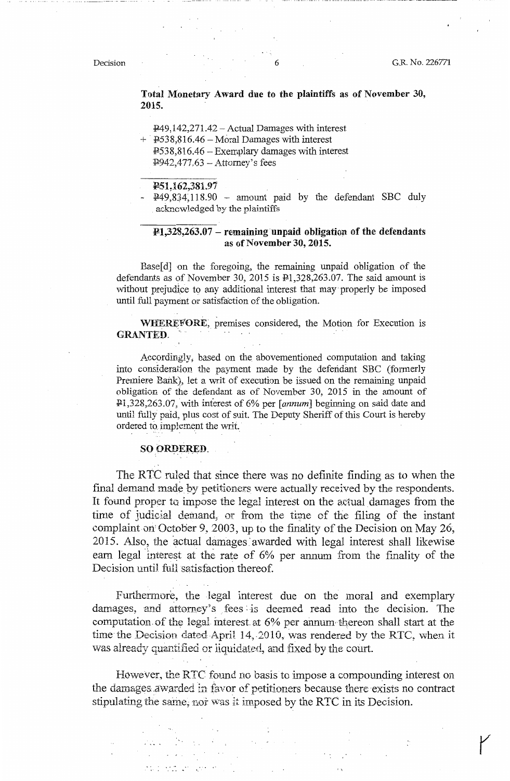**Total Monetary Award due to the plaintiffs as of November 30, 2015.** 

 $E49,142,271.42 - Actual Damages with interest$ 

 $+$  P538,816.46 - Moral Damages with interest P53 8,816.46 - Exemplary damages with interest  $P942,477.63 -$ Attorney's fees

**1!51~162,381.97** 

 $249,834,118.90$  - amount paid by the defendant SBC duly ackncwledged by the plaintiffs

#### **P.1,328,263.07** - **remaining unpaid obligation of the defendants**  as **of November 30, 2015.**

Base[d] on the foregoing, the remaining unpaid obligation of the defendants as of November 30, 2015 is Pl,328,263.07. The said amount is without prejudice to any additional interest that may· properly be imposed until full payment or satisfaction of the obligation.

**WHEREFORE;** premises considered, the Motion for Execution is **GRANTED.** 

Accordingly; based on the. abovementioned computation and taking into consideration the payment made by the defendant SBC (formerly Premiere Bank), let a writ of execution be issued on the remaining unpaid obligation of the defendant as of November 30, 2015 in the amount of Pl,328,263.07, with interest of 6% per *[annum]* beginning on said date and until fully paid, plus cost of suit. The Deputy Sheriff of this Court is hereby ordered to implement the writ.

#### **SO iOR9ER,ED.**

The RTC ruled that since there was no definite finding as to when the fmal demand made by petitioners were actually received by the respondents. It found proper to impose the legal interest on the actual damages from the time of judicial dernand, or from the time of the filing of the instant complaint on October 9, 2003, up to the finality of the Decision on May 26, 2015. Also, the actual damages awarded with legal interest shall likewise earn legal interest at the rate of 6% per annum from the finality of the Decision until full satisfaction thereof.

Furthermore, the legal interest due on the moral and exemplary damages, and attorney's fees is deemed read into the decision. The computation of the legal interest at  $6\%$  per annum thereon shall start at the time the Decision dated April 14, 2010, was rendered by the RTC, when it was already quantified or liquidated, and fixed by the court.

However, the RTC found no basis to impose a compounding interest on the damages awarded in favor of petitioners because there exists no contract stipulating the same, nor was it imposed by the RTC in its Decision.

**Contractor** 

 $\mathcal{L}_{\text{max}}$  , where  $\mathcal{L}_{\text{max}}$ 

 $\sim$ 

 $\label{eq:2} \mathcal{L}_{\mathcal{A}}(\mathcal{A},\mathcal{A})=\frac{1}{2}\sum_{i=1}^{2}\frac{1}{2}\left(\frac{1}{2}\sum_{i=1}^{2}\frac{1}{2}\sum_{i=1}^{2}\frac{1}{2}\sum_{i=1}^{2}\frac{1}{2}\sum_{i=1}^{2}\frac{1}{2}\sum_{i=1}^{2}\frac{1}{2}\sum_{i=1}^{2}\frac{1}{2}\sum_{i=1}^{2}\frac{1}{2}\sum_{i=1}^{2}\frac{1}{2}\sum_{i=1}^{2}\frac{1}{2}\sum_{i=1}^{2}\frac{1}{2}\sum_{i=1}^{2}\$ 

apo estilar general

r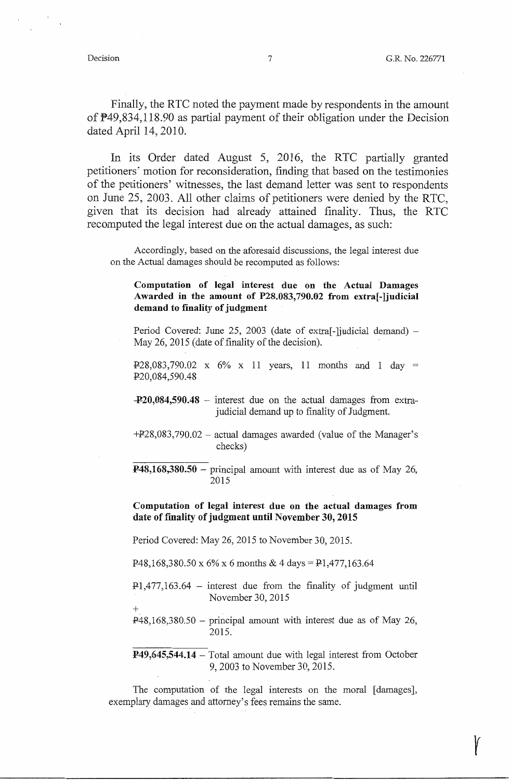Finally, the RTC noted the payment made by respondents in the amount of  $P49,834,118.90$  as partial payment of their obligation under the Decision dated April 14, 2010.

In its Order dated August 5, 2016, the RTC partially granted petitioners' motion for reconsideration, finding that based on the testimonies of the petitioners' witnesses, the last demand letter was sent to respondents on June 25, 2003. All other claims of petitioners were denied by the RTC, given that its decision had already attained finality. Thus, the RTC recomputed the legal interest due on the actual damages, as such:

Accordingly, based on the aforesaid discussions, the legal interest due on the Actual damages should be recomputed as follows:

### **Computation of legal interest due on the Actual Damages Awarded in the amount of P28.083,790.02 from extra[-]judicial demand to finality of judgment**

Period Covered: June 25, 2003 (date of extra<sup>[-</sup>]judicial demand) – May 26, 2015 (date of finality of the decision).

 $P:28,083,790.02 \times 6\% \times 11$  years, 11 months and 1 day = P.20,084,590.48

- **-¥20,084,590.48**  interest due on the actual damages from extrajudicial demand up to finality of Judgment.
- $+P28,083,790.02$  actual damages awarded (value of the Manager's checks)
- **¥48,168,380.50**  principal amount with interest due as of May 26, 2015

### **Computation of legal interest due on the actual damages from date of finality of judgment until November 30, 2015**

Period Covered: May 26, 2015 to November 30, 2015.

P48,168,380.50 x 6% x 6 months & 4 days = P1,477,163.64

P.1,477,163.64 - interest due from the finality of judgment until November 30, 2015

 $+$  $P48,168,380.50$  – principal amount with interest due as of May 26, 2015.

**¥49,645,544.14** – Total amount due with legal interest from October 9, 2003 to November 30, 2015.

The computation of the legal interests on the moral [damages], exemplary damages and attorney's fees remains the same.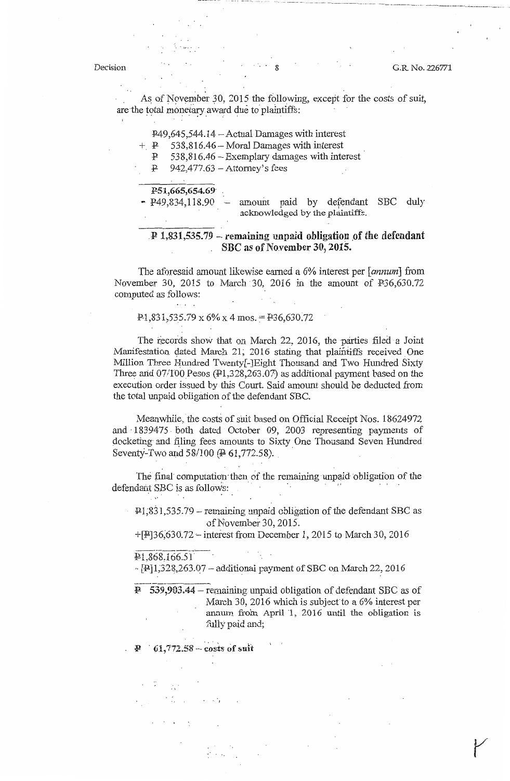-----·- -···· ·-- --·-· ···--······ ---- - - - - ~- - ---- - --- ... -- ----------~-- ·----------------

As of November 30, 2015 the following, except for the costs of suit, are the total monetary award due to plaintiffs:

 $+$  P 538,816.46 – Moral Damages with interest

:P. 538,816.46 -Exemplary damages with interest

 $P$  942,477.63 - Attorney's fees

**F-51,665,654.69** 

- P49,834,118.90 - amount paid by defendant SBC duly acknowledged by the plaintiffs.

#### $P$  1,831,535.79 – remaining unpaid obligation of the defendant . SBC as of November 30, 2015.

The aforesaid amount likewise earned a 6% interest per [annum] from November 30, 2015 to March 30, 2016 in the amount of P36,630.72 computed as follows:

#### $P1,831,535.79 \times 6\% \times 4 \text{ mos.} = P36,630.72$

The records show that on March 22, 2016, the parties filed a Joint Manifestation dated March 21, 2016 stating that plaintiffs received One Million Three Hundred Twenty[-]Eight Thousand and Two Hundred Sixty Three and  $07/100$  Pesos ( $\pmb{\mathcal{P}}$ 1,328,263.07) as additional payment based on the execution order issued by this Court. Said amount should be deducted from the total unpaid obligation of the defendant SBC.

Meanwhile, the costs of suit based on Official Receipt Nos. 18624972 and · 1839475. both dated October 09, 2003 representing payments of docketing and filing fees amounts to Sixty One Thousand Seven Hundred Seventy-Two and 58/100 ( $\neq 61,772.58$ ).

The final computation then of the remaining unpaid obligation of the defendant SBC is as follows:

 $P1,831,535.79$  - remaining unpaid obligation of the defendant SBC as of November 30, 2015.

 $+[1, 2015]$  to March 30, 2016

#### $P1,868,166.51$

,. [P.]1\_;32\$,263.Q7 -additionai payment of SBC on March *22?* 2016

 $\overline{P}$  539,903.44 – remaining unpaid obligation of defendant SBC as of March 30, 2016 which is subject to a  $6\%$  interest per annum from April 1, 2016 until the obligation is fully paid and;

 $61,772.58 - \text{costs of suit}$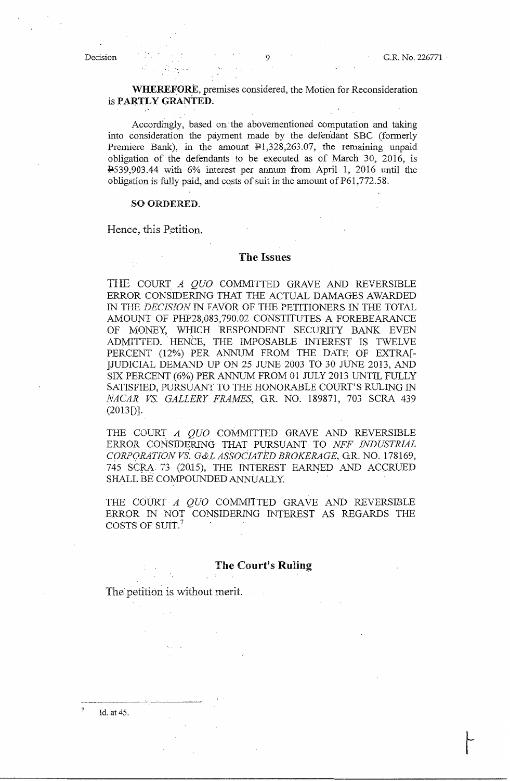### **WHEREFORE, premises considered, the Motion for Reconsideration** is **PARTLY GRANTED.**

Accordingly, based on·the abovementioned computation and taking into consideration the payment made by the defendant SBC (formerly Premiere Bank), in the amount  $\mathbb{P}1,328,263.07$ , the remaining unpaid obligation of the defendants to be executed as of March 30, 2016, is I!539,903.44 with 6% interest per annum from April l, 2016 until the obligation is fully paid, and costs of suit in the amount of  $E$ 61,772.58.

#### **SO ORDERED.**

. ' : *~.* ' ..

Hence, this Petition.

#### **The Issues**

THE COURT *A OUO* COMMITTED GRAVE AND REVERSIBLE ERROR CONSIDERING THAT THE ACTUAL DAMAGES AWARDED IN THE *DECISION* IN EAVOR OF THE PETITIONERS IN THE TOTAL AMOlJNT OF PHP28,083,790.02 CONSTITUTES A FOREBEARANCE OF MONEY, WHICH RESPONDENT SECURITY BANK EVEN ADMITTED. HENCE, THE IMPOSABLE INTEREST IS TWELVE PERCENT (12%) PER ANNUM FROM THE DATE OF EXTRA[- ]JUDICIAL DEMAND UP ON 25 JUNE 2003 TO 30 JUNE 2013, AND SIX PERCENT (6%) PER ANNUM FROM 01 JULY 2013 UNTIL FULLY SATISFIED, PURSUANT TO THE HONORABLE COURT'S RULING IN *NACAR VS. GALLERY FRAMES, G.R. NO. 189871, 703 SCRA 439*  $(2013$ [)].

THE COURT A *QUO* COMMITTED GRAVE AND REVERSIBLE ERROR CONSIDERING THAT PURSUANT TO *NFF INDUSTRIAL CORPQRA.TIONV,S. G&LASSOCL4TED BROKERAGE,* G.R. NO. 178169, 745 SCRA 73 (2015), THE INTEREST EARNED AND ACCRUED SHALL BE COMPOUNDED ANNUALLY.

THE COURT A *QUO* COMMITTED GRAVE AND REVERSIBLE ERROR IN NOT CONSIDERING INTEREST AS REGARDS THE COSTS OF SUIT.<sup>7</sup>

### **The Court's Ruling**

The petition is without merit.

7 Id. at 45.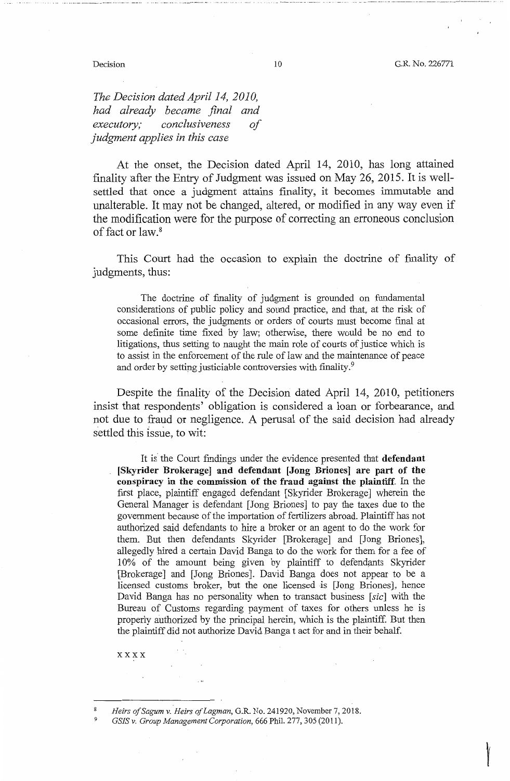t

·-- - ------ ----··- ·-·-----·- ---·-- ·----·---1---------·· -·

*The Decision dated April 14, 2010, had already became final and executory; conclusiveness of judgment applies in this case* 

At the onset, the Decision dated April 14, 2010, has long attained finality after the Entry of Judgment was issued on May 26, 2015. It is wellsettled that once a judgment attains finality, it becomes immutable and unalterable. It may not be changed, altered, or modified in any way even if the modification were for the purpose of correcting an erroneous conclusion of fact or law.<sup>8</sup>

This Court had the occasion to explain the doctrine of finality of judgments, thus:

The doctrine of finality of judgment is grounded on fundamental considerations of public policy and sound practice, and that, at the risk of occasional errors, the judgments or orders of courts must become final at some definite time fixed by law; otherwise, there would be no end to litigations, thus setting to naught the main role of courts of justice which is to assist in the enforcement of the rule of law and the maintenance of peace and order by setting justiciable controversies with finality.<sup>9</sup>

Despite the finality of the Decision dated April 14, 2010, petitioners insist that respondents' obligation is considered a loan or forbearance, and not due to fraud or negligence. A perusal of the said decision had already settled this issue, to wit:

It is the Court findings under the evidence presented that **defendant [Skyrider Brokerage] and defendant [Jong Briones] are part of the conspiracy** in **the commission of the fraud against the plaintiff.** In the first place, plaintiff engaged defendant [Skyrider Brokerage] wherein the General Manager is defendant [Jong Briones] to pay the taxes due to the government because of the importation of fertilizers abroad. Plaintiff has not authorized said defendants to hire a broker or an agent to do the work for them. But then defendants Skyrider [Brokerage] and [Jong Briones], allegedly hired a certain David Banga to do the work for them for a fee of 10% of the amount being given by plaintiff to defendants Skyrider [Brokerage] and [Jong Briones]. David Banga does not appear to be a licensed customs broker, but the one licensed is [Jong Briones], hence David Banga has no personality when to transact business [sic] with the Bureau of Customs regarding payment of taxes for others unless he is properly authorized by the principal herein, which is the plaintiff. But then the plaintiff did not authorize David Banga t act for and in their behalf.

xxxx

8 9

*Heirs ofSagum v. Heirs of Lagman,* G.R. No. 241920, November 7, 2018.

*GSIS v. Group Management Corporation,* 666 Phil. 277, 305 (2011).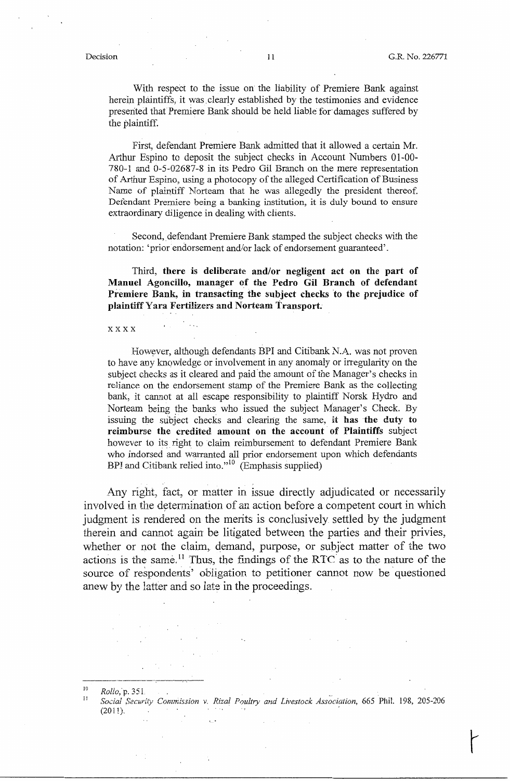With respect to the issue on the liability of Premiere Bank against herein plaintiffs, it was. clearly established by the testimonies and evidence presented that Premiere Bank should be held liable for damages suffered by the plaintiff.

First, defendant Premiere Bank admitted that it allowed a certain Mr. Arthur Espino to deposit the subject checks in Account Numbers 01-00- 780-1 and 0-5-02687-8 in its Pedro Gil Branch on the mere representation of Arthur Espino, using a photocopy of the alleged Certification of Business Name of plaintiff Norteam that he was allegedly the president thereof. Defendant Premiere being a banking institution, it is duly bound to ensure extraordinary diligence in dealing with clients.

Second, defendant Premiere Bank stamped the subject checks with the notation: 'prior endorsement and/or lack of endorsement guaranteed'.

Third, **there** is **deliberate and/or negligent act on the part of Manuel Agoncillo, manager of the Pedro Gil Branch of defendant**  Premiere Bank, in transacting the subject checks to the prejudice of **plaintiff Yara Fertilizers and Norteam Transport.** 

#### xxxx

However, although defendants BPI and Citibank N.A. was not proven to have any knowledge or involvement in any anomaly or irregularity on the subject checks as it cleared and paid the amount of the Manager's checks in reliance on the endorsement stamp of the Premiere Bank as the collecting bank, it cannot at all escape responsibility to plaintiff Norsk Hydro and Norteam being the banks who issued the subject Manager's Check. By issuing the subject checks and clearing the same, it **has the duty to**  reimburse the credited amount on the account of Plaintiffs subject however to its right to claim reimbursement to defendant Premiere Bank who indorsed and warranted all prior endorsement upon which defendants BPI and Citibank relied into."<sup>10</sup> (Emphasis supplied)

Any right, fact, or matter in issue directly adjudicated or necessarily involved in the determination of an action before a competent court in which judgment is rendered on the merits is conclusively settled by the judgment therein and cannot again be litigated between the parties and their privies, whether or not the claim, demand, purpose, or subject matter of the two actions is the same.<sup>11</sup> Thus, the findings of the RTC as to the nature of the source of respondents' obligation to petitioner cannot now be questioned anew by the latter and so late in the proceedings.

 $^{10}$  *Rollo*, p. 351.

*Social Securff.y Commission v. Rizal Poultry and Livestock Association,* 665 Phil. 198, 205-206  $(2011)$ .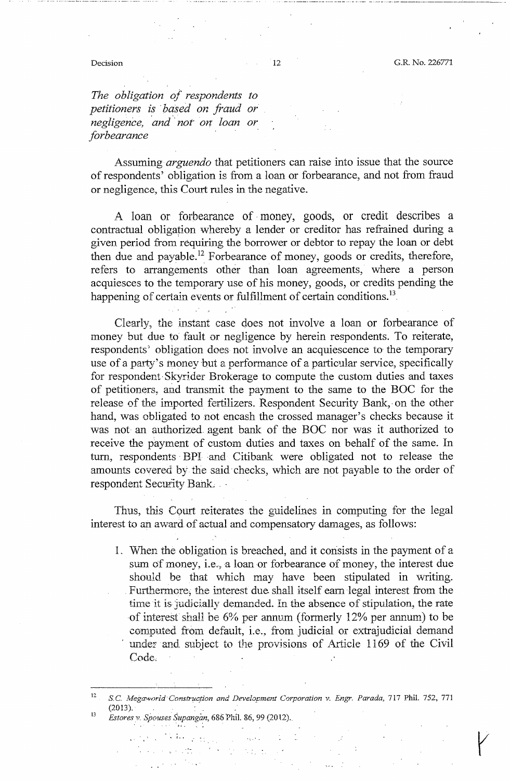. - .... ---· ···-·· - - -··- .. --- ... - .. ··-· -· ····· - . ·-·· --· ----·-·------~· ---

*The obligation of respondents to petitioners i~* · ba,sed *on fraud or negligence, and not on loan or forbearance* 

Assuming *arguendo* that petitioners can raise into issue that the source of respondents' obligation is from a loan or forbearance, and not from fraud or negligence, this Court rules in the negative.

A loan or forbearance of money, goods, or credit describes a contractual obligation whereby a lender or creditor has refrained during a given period from requiring the borrower or debtor to repay the loan or debt then due and payable.<sup>12</sup> Forbearance of money, goods or credits, therefore, refers to arrangements other than loan agreements, where a person acquiesces to the temporary use of his money, goods, or credits pending the happening of certain events or fulfillment of certain conditions.<sup>13</sup>

Clearly, the instant case does not involve a loan or forbearance of money but due to fault or negligence by herein respondents. To reiterate, respondents<sup>°</sup> obligation does not involve an acquiescence to the temporary use of a party's money but a performance of a particular service, specifically for respondent· Skyrider Brokerage to compute the custom duties and taxes of petitioners, and transmit the payment to the same to the BOC for the release of the imported fertilizers. Respondent Security Bank, on the other hand, was obligated to not encash the crossed manager's checks because it was not an authorized agent bank of the BOC nor was it authorized to receive the payment of custom duties and taxes on behalf of the same. In tum, respondents · BPI -and Citibank were obligated not to release the amounts covered by the said-checks, which are not payable to the order of respondent Security Bank.

Thus, this Court reiterates the guidelines in computing for the legal interest to an award of actual and compensatory damages, as follows:

l, \\lhen the obligation is breached, and it consists in the payment of a sum of money, i.e., a loan or forbearance of money, the interest due should be that which may have been stipulated in writing. . Furthermore; the interest due, shall itself earn legal interest from the time it is judicially demanded. In the absence of stipulation, the rate of interest shall be  $6\%$  per annum (formerly  $12\%$  per annum) to be computed from default, i.e., from judicial or extrajudicial demand under and subject to the provisions of Article 1169 of the Civil Code:.

*Es tores* v. *Spouses ,'iupangan,* 686 Phil. 86, 99 (2012).

 $\mathcal{L}_{\text{max}} = \frac{1}{2} \sum_{i=1}^{N} \frac{1}{2} \sum_{i=1}^{N} \frac{1}{2} \sum_{i=1}^{N} \frac{1}{2} \sum_{i=1}^{N} \frac{1}{2} \sum_{i=1}^{N} \frac{1}{2} \sum_{i=1}^{N} \frac{1}{2} \sum_{i=1}^{N} \frac{1}{2} \sum_{i=1}^{N} \frac{1}{2} \sum_{i=1}^{N} \frac{1}{2} \sum_{i=1}^{N} \frac{1}{2} \sum_{i=1}^{N} \frac{1}{2} \sum_{i=1}^{N} \frac{1$ 

 $\mathcal{L}_{\text{max}}$  and  $\mathcal{L}_{\text{max}}$ 

 $\sim 10^{11}$ 

 $\label{eq:3} \frac{\partial \mathcal{L}_{\mathcal{F}}(\mathbf{r},\mathbf{r})}{\partial \mathcal{L}_{\mathcal{F}}(\mathbf{r},\mathbf{r})} = \frac{\partial \mathcal{L}_{\mathcal{F}}(\mathbf{r},\mathbf{r})}{\partial \mathbf{r}} \mathcal{L}_{\mathcal{F}}(\mathbf{r},\mathbf{r}) \mathcal{L}_{\mathcal{F}}(\mathbf{r},\mathbf{r})$ 

<sup>12</sup>  13 *S.C. Megaworld Construction and Development Corporation v. Engr. Parada, 717 Phil. 752, 771*  $(2013).$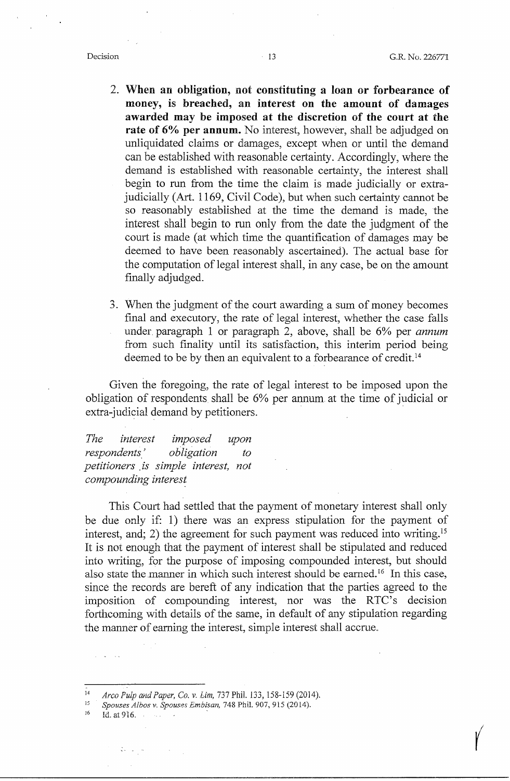$\begin{pmatrix} 1 \\ 1 \end{pmatrix}$ 

- 2. **When an obligation, not constituting a loan or forbearance of money,** is **breached, an interest on the amount of damages awarded may be imposed at the discretion of the court at the rate of 6% per annum.** No interest, however, shall be adjudged on unliquidated claims or damages, except when or until the demand can be established with reasonable certainty. Accordingly, where the demand is established with reasonable certainty, the interest shall begin to run from the time the claim is made judicially or extrajudicially (Art. 1169, Civil Code), but when such certainty cannot be so reasonably established at the time the demand is made, the interest shall begin to run only from the date the judgment of the court is made ( at which time the quantification of damages may be deemed to have been reasonably ascertained). The actual base for the computation of legal interest shall, in any case, be on the amount finally adjudged.
- 3. When the judgment of the court awarding a sum of money becomes final and executory, the rate of legal interest, whether the case falls under paragraph l or paragraph 2, above, shall be 6% per *annum*  from such finality until its satisfaction, this interim period being deemed to be by then an equivalent to a forbearance of credit. <sup>14</sup>

Given the foregoing, the rate of legal interest to be imposed upon the obligation of respondents shall be 6% per annum. at the time of judicial or extra-judicial demand by petitioners.

*The interest imposed upon respondents' obligation to petitioners* . *is simple interest, not compounding interes~* 

This Court had settled that the payment of monetary interest shall only be due only if: 1) there was an express stipulation for the payment of interest, and; 2) the agreement for such payment was reduced into writing.<sup>15</sup> It is not enough that the payment of interest shall be stipulated and reduced into writing, for the purpose of imposing compounded interest, but should also state the manner in which such interest should be earned.<sup>16</sup> In this case, since the records are bereft of any indication that the parties agreed to the imposition of compounding interest, nor was the RTC's decision forthcoming with details of the same, in default of any stipulation regarding the manner of earning the interest, simple interest shall accrue.

<sup>14</sup>*Arco Pulp arid Paper, Co. v. Lim,* 737 Phii. 133, 158-159 (2014). 15 *Spouses A/hos v. Spouses Embisan,* 748 Phil. 907,915 (2014). 16 Id. at 916. .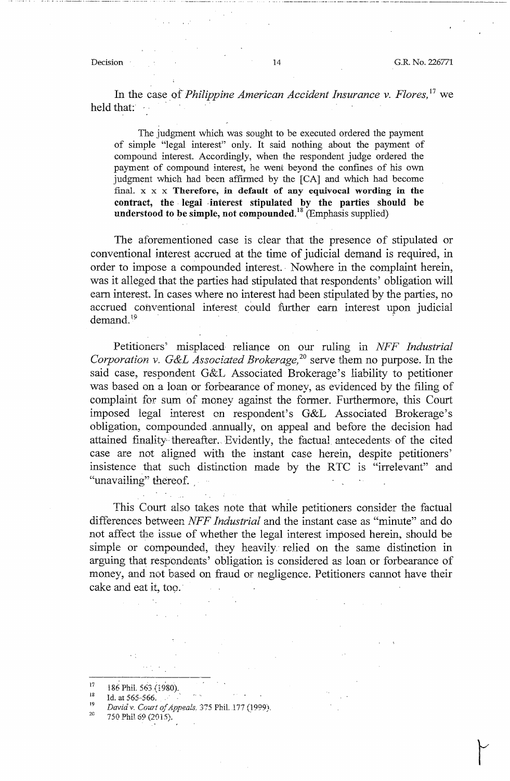Decision 14 G.R. No. 226771

In the case *of'Philippine American Accident Insurance v. Flores,* 17 we held that:  $\cdot$ 

The judgment which was sought to be executed ordered the payment of simple "legal interest" only. It said nothing about the payment of compound interest. Accordingly, when the respondent judge ordered the payment of compound interest, he went beyond the confines of his own judgment which had been affirmed by the [CA] and which had become final. x x x **Therefore, in default of any equivocal wording in the contract, the** . **legal** . **interest stipulated by the parties should be understood to be simple, not compounded. <sup>18</sup>**(Emphasis supplied)

The aforementioned case is clear that the presence of stipulated or conventional interest accrued at the time of judicial demand is required, in order to impose a compounded interest. Nowhere in the complaint herein, was it alleged that the parties had stipulated that respondents' obligation will earn interest. In cases where no interest had been stipulated by the parties, no accrued conventional interest could further earn interest upon judicial demand. $19$ 

Petitioners' misplaced reliance on our ruling in *NFF Industrial Corporation* v. *G&L Associated Brokerage,* 20 serve them no purpose. In the said case, respondent G&L Associated Brokerage's liability to petitioner was based on a loan or forbearance of money, as evidenced by the filing of complaint for sum of money against the former. Furthermore, this Court imposed legal interest on respondent's G&L Associated Brokerage's obligation, compounded .annually, on appeal and before the decision had attained finality thereafter. Evidently, the factual antecedents of the cited case are not aligned with the instant case herein, despite petitioners' insistence that such distinction made by the RTC 1s "irrelevant" and "unavailing" thereof.

This Court also takes note that while petitioners consider the factual differences between *NFF Industrial* and the instant case as "minute" and do not affect the issue of whether the legal interest imposed herein, should be simple or compounded, they heavily relied on the same distinction in arguing that respondents' obligation is considered as loan or forbearance of money, and not based on fraud or negligence. Petitioners cannot have their cake and eat it, too.

2G 750 Phil 69 (2015).

<sup>17</sup>  186 Phil. 563 (1980).

<sup>18</sup>  Id. at 565~566. .

<sup>19</sup>  *Dcrvid v. Court of Appeals.* 375 Phil. 177 (1999).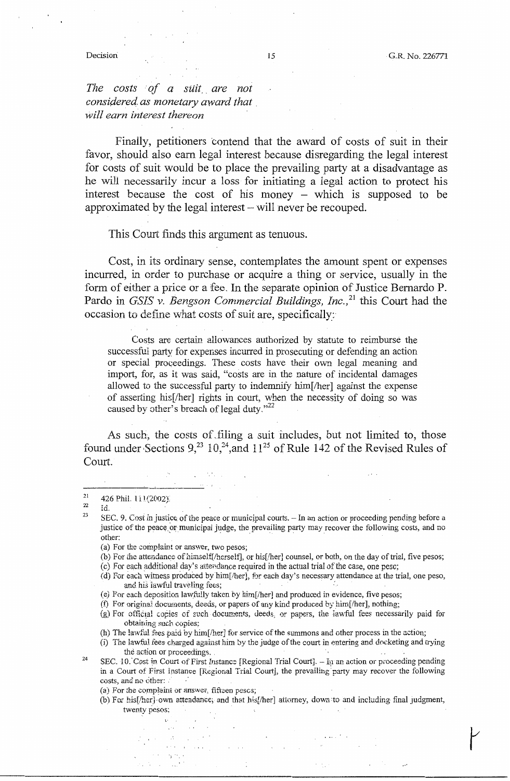*The costs of a suit are not considered as monetary award that* . *will earn interest thereon* 

Finally, petitioners contend that the award of costs of suit in their favor, should. also earn legal interest because disregarding the legal interest for costs of suit would be to place the prevailing party at a disadvantage as he will necessarily incur a loss for initiating a legal action to protect his interest because the cost of his money  $-$  which is supposed to be approximated by the legal interest – will never be recouped.

This Court finds this argument as tenuous.

Cost, in its ordinary sense, contemplates the amount spent or expenses incurred, in order to purchase or acquire a thing or service, usually in the form of either a price or a fee. In the separate opinion of Justice Bernardo P. Pardo in *GSIS v. Bengson Commercial Buildings, Inc.*<sup>21</sup> this Court had the occasion to define what costs of suit are, specifically:

Costs are certain allowances authorized by statute to reimburse the successful party for expenses incurred in prosecuting or defending an action or special proceedings. These costs have their own legal meaning and import, for, as it was said, "costs are in the nature of incidental damages allowed to the successful party to indemnify him[/her] against the expense of asserting his[/her] rights in court, when the necessity of doing so was caused by other's breach of legal duty."<sup>22</sup>

As such, the costs of.filing a suit includes, but not limited to, those found under Sections  $9^{23}$  10,<sup>24</sup>, and  $11^{25}$  of Rule 142 of the Revised Rules of Court.

23 Id. SEC. 9. Cost in justice of the peace or municipal courts. - In an action or proceeding pending before a justice of the peace or municipal judge, the prevailing party may recover the following costs, and no other:

- (a) For the complaint or answer, two pesos;
- (b) For the attendance of himself[/herself], or his[/her] counsel, or both, on the day of trial, five pesos;
- (c) For each additional day's attendance required in the actual trial of the case, one peso;
- (d) For each witness produced by him[/her], for each day's necessary attendance at the trial, one peso, and his lawful traveling fees;
- (e) For each deposition lawfully taken by him[/her] and produced in evidence, five pesos;
- (f) For original documents, deeds, or papers of any kind produced by him[/her], nothing;
- (g) For official copies of such documents, deeds, or papers, the lawful fees necessarily paid for obtaining such copies:
- (h) The lawful fees paid by him[/her] for service of the summons and other process in the action;
- (i) The lawful fees charged against him by the judge of the court in entering and d0cketing and trying the action or proceedings, .
- 24 SEC. 10. Cost in Court of First Instance [Regional Trial Court]. - In an action or proceeding pending in a Court of First Instance [Regional Trial Court], the prevailing party may recover the following costs, and no other:
	- (a) For the complaint or answer, fifteen pescs;
	- (b) For his[/her]-own attendance; and that his[/her] attorney, down to and including final judgment, twenty pesos:

<sup>21</sup>  22 426 Phil. 111(2002).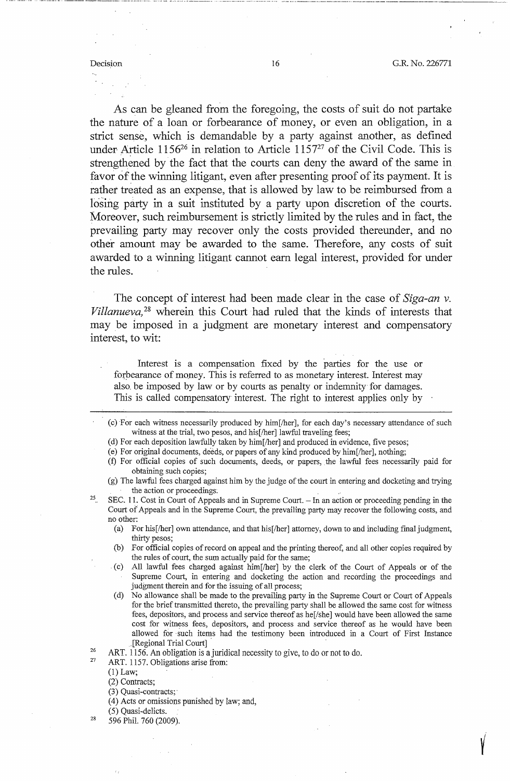---·· ·--- -- ------------ --------------·····-·------·----- -------- --·····---·----- -- ··--·-·-···---·--'··---·----··· .. -·-·-···-------·-------·----·---·--·-·-·---·------~----

As can be gleaned from the foregoing, the costs of suit do not partake the nature of a loan or forbearance of money, or even an obligation, in a strict sense, which is demandable by a party against another, as defined under-Article 1156<sup>26</sup> in relation to Article 1157<sup>27</sup> of the Civil Code. This is strengthened by the fact that the courts can deny the award of the same in favor of the winning litigant, even after presenting proof of its payment. It is rather treated as an expense, that is allowed by law to be reimbursed from a losing party in a suit instituted by a party upon discretion of the courts. Moreover, such reimbursement is strictly limited by the rules and in fact, the prevailing party may recover only the costs provided thereunder, and no other amount may be awarded to the same. Therefore, any costs of suit awarded to a winning litigant cannot earn legal interest, provided for under the rules.

The concept of interest had been made clear in the case of *Siga-an v. Villanueva,* 28 wherein this Court had ruled that the kinds of interests that may be imposed in a judgment are monetary interest and compensatory interest, to wit:

Interest is a compensation fixed by the parties for the use or forbearance of money. This is referred to as monetary interest. Interest may also. be imposed by law or by courts as penalty or indemnity for damages. This is called compensatory interest. The right to interest applies only by

- (d) For each deposition lawfully taken by him[/her] and produced in evidence, five pesos;
- (e) For original documents, deeds, or papers of any kind produced by him[/her], nothing; (:f) For official copies of such documents, deeds, or papers, the lawful fees necessarily paid for obtaining such copies;
- (g) The lawful fees charged against him by the judge of the court in entering and docketing and trying the action or proceedings'.
- 25 SEC. 11. Cost in Court of Appeals and in Supreme Court. - In an action or proceeding pending in the Court of Appeals and in the Supreme Court, the prevailing party may recover the following costs, and no other:
	- (a) For his[/her] own attendance, and that his[/her] attorney, down to and including final judgment, thirty pesos;
	- (b) For official copies ofrecord on appeal and the printing thereof, and all other copies required by the rules of court, the sum actually paid for the same;
	- . (c) All lawful fees charged against him[/her] by the clerk of the Court of Appeals or of the Supreme Court, in entering and docketing the action and recording the proceedings and judgment therein and for the issuing of all process;
	- (d) No allowance shall be made to the prevailing party in the Supreme Court or Court of Appeals for the brief transmitted thereto, the prevailing party shall be allowed the same cost for witness fees, depositors, and process and service thereof as he[/she] would have been allowed the same cost for witness fees, depositors, and process and service thereof as he would have been allowed for · such items had the testimony been introduced in a Court of First Instance .[Regional Trial Court]
- 26 ART. 1156. An obligation is a juridical necessity to give, to do or not to do.
- 27 ART. 1157. Obligations arise from:

(1) Law;

28

- (3) Quasi-contracts;·
- (4) Acts or omissions punished by law; and,
- (5) Quasi-delicts.
- 596 Phil. 760 (2009).

<sup>(</sup>c) ·For each witness necessarily produced by him[/her], for each day's necessary attendance of such witness at the trial, two pesos, and his[/her] lawful traveling fees;

<sup>(2)</sup> Contracts;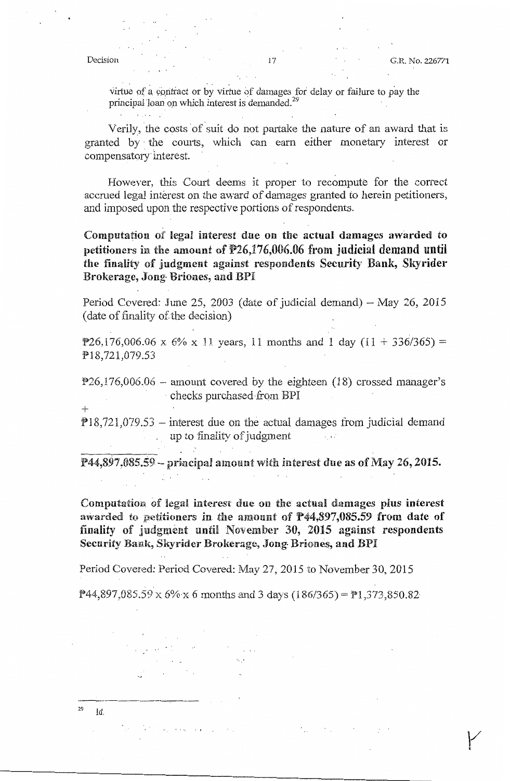virtue of a contract or by virtue of damages for delay or failure to pay the principal loan on which interest is demanded.<sup>29</sup>

Verily, the costs of suit do not partake the nature of an award that is granted by · the courts, which can earn either monetary interest or compensatory· interest.

However, this Court deems it proper to recompute for the correct accrued legal interest on the award of damages granted to herein petitioners, and imposed upon the respective portions of respondents.

Computation of legal interest due on the actual damages awarded to petitioners in the amount of  $P26,176,006.06$  from judicial demand until the finality of judgment against respondents Security Bank, Skyrider Brokerage, Jong• Briones, and BPI

Period Covered: June 25, 2003 (date of judicial demand)  $-$  May 26, 2015 ( date of finality of the decision)

P26,176,006.06 x 6% x 11 years, 11 months and 1 day  $(11 + 336/365) =$ Pl8,721,079.53

 $P26,176,006.06$  – amount covered by the eighteen (18) crossed manager's • checks purchased from BPI

 $+$ 

 $\sim 10^{-10}$ 

الوالان يتعاقل والمح

 $\mathbf{L}$ 

 $P18,721,079.53$  - interest due on the actual damages from judicial demand up to finality of judgment  $\sim$  40

 $P44,897,085.59 - principal amount with interest due as of May 26, 2015.$ 

Computation of legal interest due on the actual damages plus interest awarded to petitioners in the amount of  $P44,897,085.59$  from date of finality of judgment until November 30, 2015 against respondents Security Bank, Skyrider Brokerage, Jong Briones, and BPI

Period Covered: Period Covered: May 27, 2015 to November 30, 2015

 $P_{44,897,085,59 \text{ X}}$  6%  $\times$  6 months and 3 days (186/365) =  $P_{1,373,850.82}$ 

 $\sim 200$ 

·----------  $^{29}$   $\text{Id}$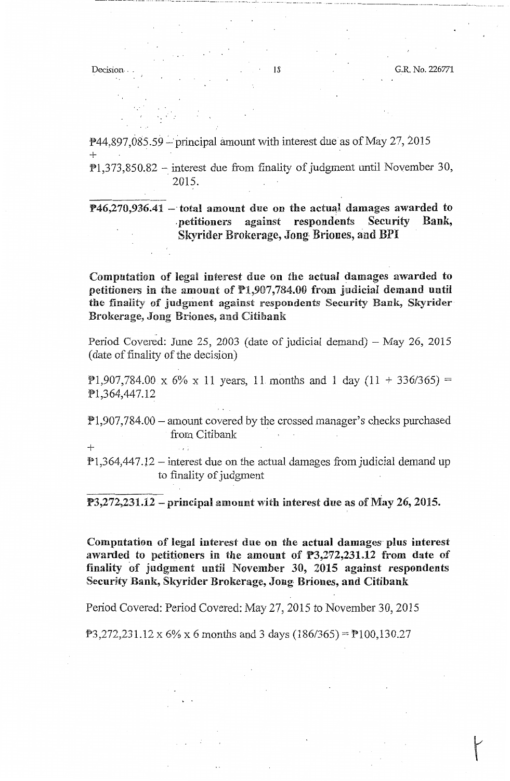····'· .... -- -··· ---------·--·- - ·--·----··- --------------------·----·---·-------

+

 $P$ 44,897,085,59 – principal amount with interest due as of May 27, 2015 +

 $P1,373,850.82$  - interest due from finality of judgment until November 30, 2015.

**P46,270,936.41 -·total amount** due **on the aC1tuaJ damages awarded to**  . petitioners against respondents Security Bank, Skyrider Brokerage, Jong Briones, and BPI

Computation of legal interest due on the actual damages awarded. to petitioners in the amount of Pl,907,784.00 from judicial demand until the finality of judgment against respondents Security Bank, Skyrider Birokerage, Jong Briones, and Citibank

Period Covered: June 25, 2003 (date of judicial demand) - May 26, 2015 ( date of finality of the decision)

P1,907,784.00 x 6% x 11 years, 11 months and 1 day  $(11 + 336/365)$  = Pl,364,447.12

 $P1,907,784.00$  – amount covered by the crossed manager's checks purchased from Citibank

 $P1,364,447.12$  – interest due on the actual damages from judicial demand up to finality of judgment

 $P3,272,231.12$  – principal amount with interest due as of May 26, 2015.

Computation of legal interest due on the actual damages· plus interest awarded to petitioners in tbe amount of P3,272,231.12 from date of finality of judgment until November 30, 2015 against respondents Security Bank, Skyrider Brokerage, Jong, Briones, and. Citibank

Period Covered: Period Covered: May 27, 2015 to November 30, 2015

 $P3,272,231.12 \times 6\% \times 6$  months and 3 days (186/365) =  $P100,130.27$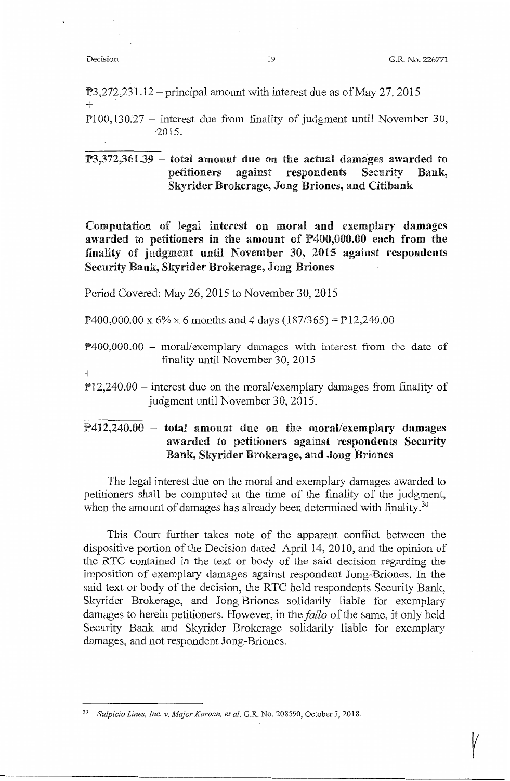$\sqrt{ }$ 

 $P3,272,231.12$  – principal amount with interest due as of May 27, 2015 +

 $P$ 100,130.27 – interest due from finality of judgment until November 30, 2015.

 $P3,372,361.39$  – total amount due on the actual damages awarded to petitioners against respondents Security Bank, Skyrider Brokerage, Jong· Briones, and. Citibank

Computation of legal interest on moral and exemplary damages awarded to petitioners in the amount of P400,000.00 each from the finality of judgment until November 30, 2015 against respondents Security Bank, Skyrider Brokerage, Jong Briones

Period Covered: May 26, 2015 to November 30, 2015

 $\text{P}400,000.00 \times 6\% \times 6$  months and 4 days (187/365) =  $\text{P}12,240.00$ 

- $P400,000.00 -$  moral/exemplary damages with interest from the date of finality until November 30, 2015
- +
- $P12,240.00$  interest due on the moral/exemplary damages from finality of judgment until November 30, 2015.

# :!?412,240.00 - total amount due on the moral/exemplary **damages**  awarded to petitioners against respondents Security Bank, Skyrider Brokerage, and Jong-Briones

The legal interest due on the moral and exemplary damages awarded to petitioners shall be computed at the time of the finality of the judgment, when the amount of damages has already been determined with finality.<sup>30</sup>

This Court further takes note of the apparent conflict between the dispositive portion of the Decision dated April 14, 2010, and the opinion of the RTC contained in the text or body of the said decision regarding the imposition of exemplary damages against respondent Jong-Briones. In the said text or body of the decision, the RTC held respondents Security Banlc, Skyrider Brokerage, and Jong Briones solidarily liable for exemplary damages to herein petitioners. However, in the *fallo* of the same, it only held Security Bank and Skyrider Brokerage solidarily liable for exemplary damages, and not respondent Jong-Briones.

<sup>30</sup>*Sulpicio Lines, Inc. v. Major Karaan, et al.* G.R. No. 208590, October 3, 2018.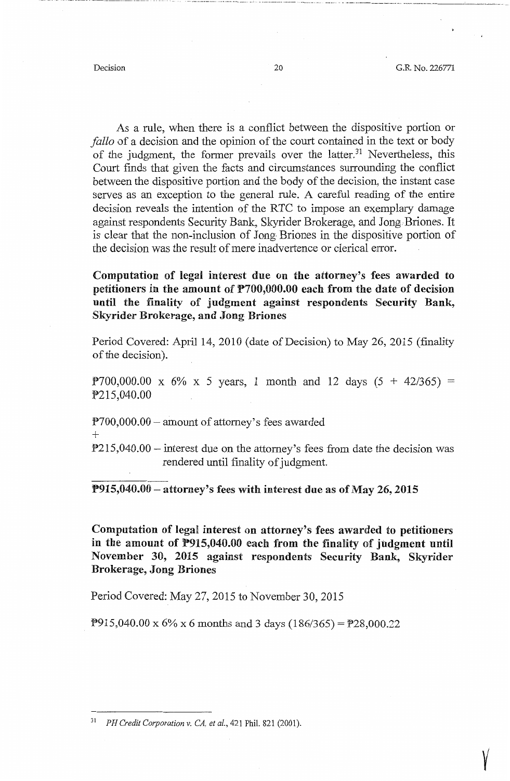···-•·-·-··· -- - ·-·--·----· ----.. -·--·------· --- --

 $\sqrt{ }$ 

As a rule, when there is a conflict between the dispositive portion or *fallo* of a decision and the opinion of the court contained in the text or body of the judgment, the former prevails over the latter.<sup>31</sup> Nevertheless, this Court finds that given the facts and circumstances surrounding the conflict between the dispositive portion and the body of the decision, the instant case serves as an exception to the general rule. A careful reading of the entire decision reveals the intention of the RTC to impose an exemplary damage against respondents Security Bank, Skyrider Brokerage, and Jong Briones. It is clear that the non-inclusion of Jong Briones in the dispositive portion of the decision was the result of mere inadvertence or clerical error.

**Computation of legal interest due on the attorney's fees awarded to petitioners in the amount of P700,000.00 each from the date of decision until the finality of judgment against respondents Security Bank, Skyrider Brokerage, and Jong Briones** 

Period Covered: April 14, 2010 (date of Decision) to May 26, 2015 (finality of the decision).

 $P700,000.00 \times 6\% \times 5$  years, 1 month and 12 days  $(5 + 42/365) =$ P215,040.00

 $P700,000.00$  - amount of attorney's fees awarded

+

 $P215,040.00$  – interest due on the attorney's fees from date the decision was rendered until finality of judgment.

**P915,040.00** - **attorney's fees with interest due as of May 26, 2015** 

Computation of legal interest on attorney's fees awarded to petitioners **in the amount of P915,040.00 each from the finaility** of **judgment until November 30, 2015 against respondents Security Bank, Skyrider Brokerage, Jong Briones** 

Period Covered: May 27, 2015 to November 30, 2015

**P915,040.00** x 6% x 6 months and 3 days  $(186/365) =$  **P28,000.22** 

<sup>31</sup>*PH Credit Corporation v. CA, et al.,* 421 Phil. 821 (2001).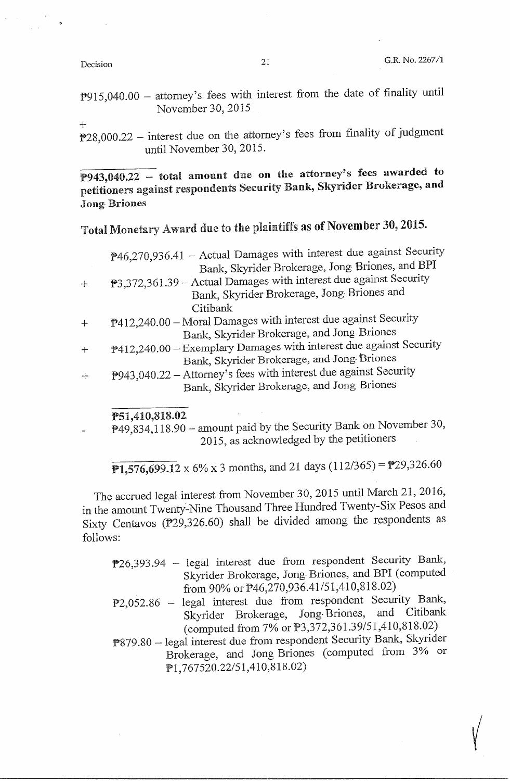P915,040.00 - attorney's fees with interest from the date of finality until November 30, 2015

+

 $P28,000.22$  – interest due on the attorney's fees from finality of judgment until November 30, 2015.

 $\overline{P943,040.22}$  – total amount due on the attorney's fees awarded to petitioners against respondents Security Bank, Skyrider Brokerage, and Jong· Briones

# Total Monetary Award due to the plaintiffs as of November 30, 2015.

| $P46,270,936.41$ – Actual Damages with interest due against Security |
|----------------------------------------------------------------------|
| Bank, Skyrider Brokerage, Jong Briones, and BPI                      |
| P3,372,361.39 – Actual Damages with interest due against Security    |
| Bank, Skyrider Brokerage, Jong Briones and                           |
| Citibank                                                             |
| P412,240.00 - Moral Damages with interest due against Security       |
| Bank, Skyrider Brokerage, and Jong Briones                           |
| P412,240.00 - Exemplary Damages with interest due against Security   |
| Bank, Skyrider Brokerage, and Jong Briones                           |
| P943,040.22 – Attorney's fees with interest due against Security     |
| Bank, Skyrider Brokerage, and Jong Briones                           |

#### PSl,410,818.02

P49,834,118.90 - amount paid by the Security Bank on November 30, 2015, as acknowledged by the petitioners

 $\overline{P1,576,699.12}$  x 6% x 3 months, and 21 days (112/365) = P29,326.60

The accrued legal interest from November 30, 2015 until March 21, 2016, in the amount Twenty-Nine Thousand Three Hundred Twenty-Six Pesos and Sixty Centavos (P29,326.60) shall be divided among the respondents as follows:

- P26,393 .94 legal interest due from respondent Security Bank, Skyrider Brokerage, Jong• Briones, and BPI (computed from 90% or  $P46,270,936.41/51,410,818.02$ )
- P2,052.86 legal interest due from respondent Security Bank,<br>Skyrider Brokerage, Jong-Briones, and Citibank Skyrider Brokerage, Jong-Briones, (computed from 7% or P3,372,36l.39/51,410,818.02)
- P879.80 legal interest due from respondent Security Bank, Skyrider Brokerage, and Jong Briones ( computed from 3% or Pl, 767520.22/51,410,818.02)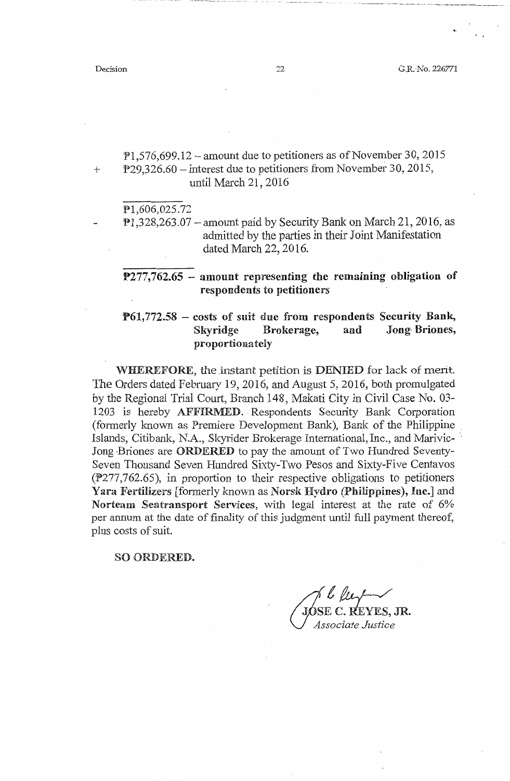- ------ --- -

 $P1,576,699.12$  – amount due to petitioners as of November 30, 2015 + P29,326.60 – interest due to petitioners from November 30, 2015, until March 21, 2016

Pl,606,025.72

 $P1,328,263.07$  – amount paid by Security Bank on March 21, 2016, as admitted by the parties in their Joint Manifestation dated March 22, 2016.

**P277,762.65 – amount representing the remaining obligation of respondents** to **petitioners** 

### **P61,772.58** - **costs** of **suit due from respondents Security Bank, Skyridge Brokerage, and Jong· Briones, proportionately**

WHEREFORE, the instant petition is DENIED for lack of merit. The Orders dated February 19, 2016, and August 5, 2016, both promulgated by the Regional Trial Court, Branch 148, Makati City in Civil Case No. 03- 1203 is hereby AFFIRMED. Respondents Security Bank Corporation (formerly known as Premiere Development Bank), Bank of the Philippine Islands, Citibank, N.A., Skyrider Brokerage International, Inc., and Marivic-Jong Briones are ORDERED to pay the amount of Two Hundred Seventy-Seven Thousand Seven Hundred Sixty-Two Pesos and Sixty-Five Centavos (P277,762.65), in proportion to their respective obligations to petitioners Yara Fertilizers [formerly known as Norsk Hydro (Philippines), Inc.] and Norteam Seatransport Services, with legal interest at the rate of  $6\%$ per annum at the date of finality of this judgment until full payment thereof, plus costs of suit.

#### SO ORDERED.

de le pour le pour le pour le pour le pour le pour le pour le pour le pour le pour le pour le pour le pouvert a *U°!sociate Justice* 

.. """'•-··- ·- ··--··· ---------···-·-·--- --- .. ···-··-- --·-- -··· -- . ····-·· -· .. ., - .. ···--- --·--- - ------- --- -- --- - - ---- ----